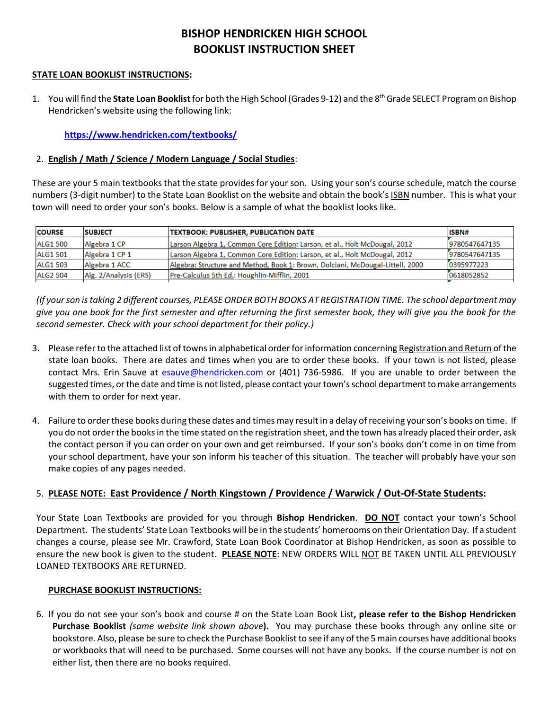# **BISHOP HENDRICKEN HIGH SCHOOL BOOKLIST INSTRUCTION SHEET**

#### **STATE LOAN BOOKLIST INSTRUCTIONS:**

1. You will find the **State Loan Booklist**for both the High School (Grades 9-12) and the 8th Grade SELECT Program on Bishop Hendricken's website using the following link:

**<https://www.hendricken.com/textbooks/>**

## 2. **English / Math / Science / Modern Language / Social Studies**:

These are your 5 main textbooks that the state provides for your son. Using your son's course schedule, match the course numbers (3-digit number) to the State Loan Booklist on the website and obtain the book's ISBN number. This is what your town will need to order your son's books. Below is a sample of what the booklist looks like.

| <b>COURSE</b>   | <b>SUBJECT</b>        | <b>TEXTBOOK: PUBLISHER, PUBLICATION DATE</b>                                   | ISBN#         |
|-----------------|-----------------------|--------------------------------------------------------------------------------|---------------|
| <b>ALG1 500</b> | Algebra 1 CP          | Larson Algebra 1, Common Core Edition: Larson, et al., Holt McDougal, 2012     | 9780547647135 |
| <b>ALG1 501</b> | Algebra 1 CP 1        | Larson Algebra 1, Common Core Edition: Larson, et al., Holt McDougal, 2012     | 9780547647135 |
| <b>ALG1 503</b> | Algebra 1 ACC         | Algebra: Structure and Method, Book 1: Brown, Dolciani, McDougal-Littell, 2000 | 0395977223    |
| <b>ALG2 504</b> | Alg. 2/Analysis (ERS) | Pre-Calculus 5th Ed.: Houghlin-Mifflin, 2001                                   | 0618052852    |

*(If your son is taking 2 different courses, PLEASE ORDER BOTH BOOKS AT REGISTRATION TIME. The school department may give you one book for the first semester and after returning the first semester book, they will give you the book for the second semester. Check with your school department for their policy.)*

- 3. Please refer to the attached list of towns in alphabetical order for information concerning Registration and Return of the state loan books. There are dates and times when you are to order these books. If your town is not listed, please contact Mrs. Erin Sauve at [esauve@hendricken.com](mailto:esauve@hendricken.com) or (401) 736-5986. If you are unable to order between the suggested times, or the date and time is not listed, please contact your town's school department to make arrangements with them to order for next year.
- 4. Failure to order these books during these dates and times may result in a delay of receiving your son's books on time. If you do not order the books in the time stated on the registration sheet, and the town has already placed their order, ask the contact person if you can order on your own and get reimbursed. If your son's books don't come in on time from your school department, have your son inform his teacher of this situation. The teacher will probably have your son make copies of any pages needed.

## 5. **PLEASE NOTE: East Providence / North Kingstown / Providence / Warwick / Out-Of-State Students:**

Your State Loan Textbooks are provided for you through **Bishop Hendricken**. **DO NOT** contact your town's School Department. The students' State Loan Textbooks will be in the students' homerooms on their Orientation Day. If a student changes a course, please see Mr. Crawford, State Loan Book Coordinator at Bishop Hendricken, as soon as possible to ensure the new book is given to the student. **PLEASE NOTE**: NEW ORDERS WILL NOT BE TAKEN UNTIL ALL PREVIOUSLY LOANED TEXTBOOKS ARE RETURNED.

## **PURCHASE BOOKLIST INSTRUCTIONS:**

6. If you do not see your son's book and course # on the State Loan Book List**, please refer to the Bishop Hendricken Purchase Booklist** *(same website link shown above***).** You may purchase these books through any online site or bookstore. Also, please be sure to check the Purchase Booklist to see if any of the 5 main courses have additional books or workbooks that will need to be purchased. Some courses will not have any books. If the course number is not on either list, then there are no books required.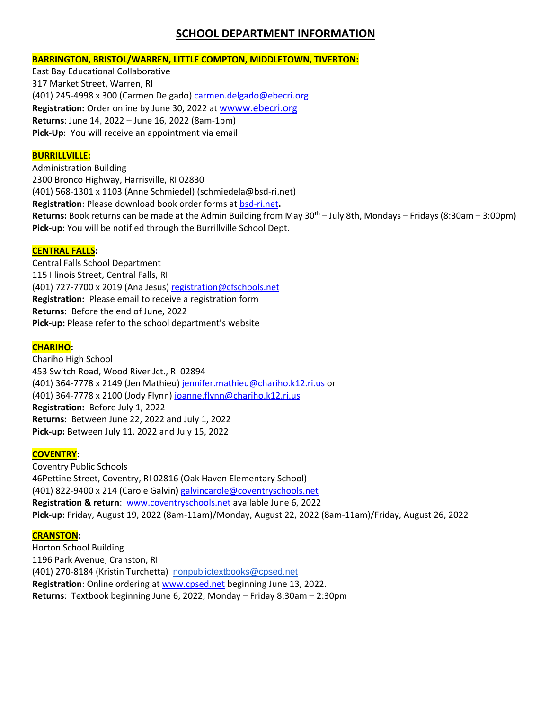## **SCHOOL DEPARTMENT INFORMATION**

#### **BARRINGTON, BRISTOL/WARREN, LITTLE COMPTON, MIDDLETOWN, TIVERTON:**

East Bay Educational Collaborative 317 Market Street, Warren, RI (401) 245-4998 x 300 (Carmen Delgado[\) carmen.delgado@ebecri.org](mailto:carmen.delgado@ebecri.org) **Registration:** Order online by June 30, 2022 at wwww.ebecri.org **Returns**: June 14, 2022 – June 16, 2022 (8am-1pm) **Pick-Up**: You will receive an appointment via email

#### **BURRILLVILLE:**

Administration Building 2300 Bronco Highway, Harrisville, RI 02830 (401) 568-1301 x 1103 (Anne Schmiedel) (schmiedela@bsd-ri.net) **Registration**: Please download book order forms at bsd-ri.net**. Returns:** Book returns can be made at the Admin Building from May 30<sup>th</sup> – July 8th, Mondays – Fridays (8:30am – 3:00pm) **Pick-up**: You will be notified through the Burrillville School Dept.

#### **CENTRAL FALLS:**

Central Falls School Department 115 Illinois Street, Central Falls, RI (401) 727-7700 x 2019 (Ana Jesus) [registration@cfschools.net](mailto:registration@cfschools.net) **Registration:** Please email to receive a registration form **Returns:** Before the end of June, 2022 **Pick-up:** Please refer to the school department's website

## **CHARIHO:**

Chariho High School 453 Switch Road, Wood River Jct., RI 02894 (401) 364-7778 x 2149 (Jen Mathieu) [jennifer.mathieu@chariho.k12.ri.us](mailto:jennifer.mathieu@chariho.k12.ri.us) or (401) 364-7778 x 2100 (Jody Flynn[\) joanne.flynn@chariho.k12.ri.us](mailto:joanne.flynn@chariho.k12.ri.us) **Registration:** Before July 1, 2022 **Returns**: Between June 22, 2022 and July 1, 2022 **Pick-up:** Between July 11, 2022 and July 15, 2022

#### **COVENTRY:**

Coventry Public Schools 46Pettine Street, Coventry, RI 02816 (Oak Haven Elementary School) (401) 822-9400 x 214 (Carole Galvin**)** [galvincarole@coventryschools.net](mailto:galvincarole@coventryschools.net) **Registration & return**: [www.coventryschools.net](http://www.coventryschools.net/) available June 6, 2022 **Pick-up**: Friday, August 19, 2022 (8am-11am)/Monday, August 22, 2022 (8am-11am)/Friday, August 26, 2022

#### **CRANSTON:**

Horton School Building 1196 Park Avenue, Cranston, RI (401) 270-8184 (Kristin Turchetta) [nonpublictextbooks@cpsed.net](mailto:nonpublictextbooks@cpsed.net) **Registration**: Online ordering at [www.cpsed.net](http://www.cpsed.net/) beginning June 13, 2022. **Returns**: Textbook beginning June 6, 2022, Monday – Friday 8:30am – 2:30pm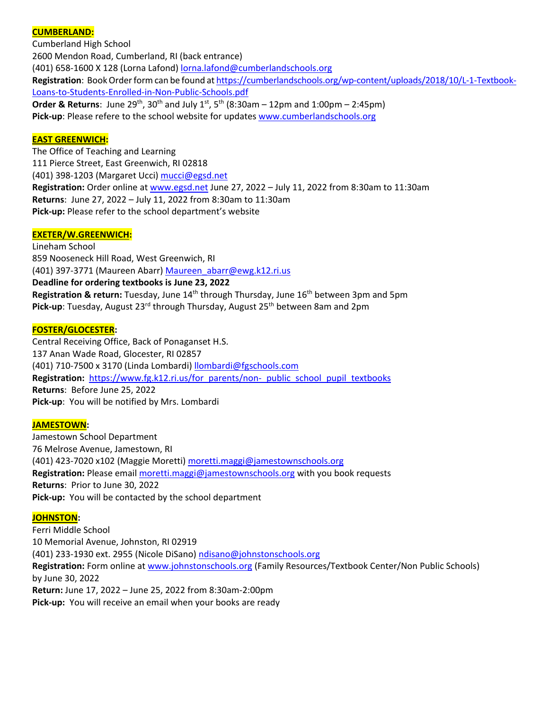## **CUMBERLAND:**

Cumberland High School 2600 Mendon Road, Cumberland, RI (back entrance) (401) 658-1600 X 128 (Lorna Lafond) [lorna.lafond@cumberlandschools.org](mailto:lorna.lafond@cumberlandschools.org) Registration: Book Order form can be found a[t https://cumberlandschools.org/wp-content/uploads/2018/10/L-1-Textbook-](https://cumberlandschools.org/wp-content/uploads/2018/10/L-1-Textbook-Loans-to-Students-Enrolled-in-Non-Public-Schools.pdf)[Loans-to-Students-Enrolled-in-Non-Public-Schools.pdf](https://cumberlandschools.org/wp-content/uploads/2018/10/L-1-Textbook-Loans-to-Students-Enrolled-in-Non-Public-Schools.pdf) **Order & Returns**: June 29<sup>th</sup>, 30<sup>th</sup> and July 1<sup>st</sup>, 5<sup>th</sup> (8:30am – 12pm and 1:00pm – 2:45pm) **Pick-up**: Please refere to the school website for update[s www.cumberlandschools.org](http://www.cumberlandschools.org/)

#### **EAST GREENWICH:**

The Office of Teaching and Learning 111 Pierce Street, East Greenwich, RI 02818 (401) 398-1203 (Margaret Ucci) [mucci@egsd.net](mailto:mucci@egsd.net) **Registration:** Order online a[t www.egsd.net](http://www.egsd.net/) June 27, 2022 – July 11, 2022 from 8:30am to 11:30am **Returns**: June 27, 2022 – July 11, 2022 from 8:30am to 11:30am **Pick-up:** Please refer to the school department's website

#### **EXETER/W.GREENWICH:**

Lineham School 859 Nooseneck Hill Road, West Greenwich, RI (401) 397-3771 (Maureen Abarr[\) Maureen\\_abarr@ewg.k12.ri.us](mailto:Maureen_abarr@ewg.k12.ri.us) **Deadline for ordering textbooks is June 23, 2022 Registration & return:** Tuesday, June 14<sup>th</sup> through Thursday, June 16<sup>th</sup> between 3pm and 5pm Pick-up: Tuesday, August 23<sup>rd</sup> through Thursday, August 25<sup>th</sup> between 8am and 2pm

#### **FOSTER/GLOCESTER:**

Central Receiving Office, Back of Ponaganset H.S. 137 Anan Wade Road, Glocester, RI 02857 (401) 710-7500 x 3170 (Linda Lombardi) [llombardi@fgschools.com](mailto:llombardi@fgschools.com) Registration: [https://www.fg.k12.ri.us/for\\_parents/non-\\_public\\_school\\_pupil\\_textbooks](https://www.fg.k12.ri.us/for_parents/non-_public_school_pupil_textbooks) **Returns**: Before June 25, 2022 **Pick-up**: You will be notified by Mrs. Lombardi

#### **JAMESTOWN:**

Jamestown School Department 76 Melrose Avenue, Jamestown, RI (401) 423-7020 x102 (Maggie Moretti) [moretti.maggi@jamestownschools.org](mailto:moretti.maggi@jamestownschools.org) **Registration:** Please email [moretti.maggi@jamestownschools.org](mailto:moretti.maggi@jamestownschools.org) with you book requests **Returns**: Prior to June 30, 2022 **Pick-up:** You will be contacted by the school department

#### **JOHNSTON:**

Ferri Middle School 10 Memorial Avenue, Johnston, RI 02919 (401) 233-1930 ext. 2955 (Nicole DiSano[\) ndisano@johnstonschools.org](mailto:ndisano@johnstonschools.org) **Registration:** Form online at [www.johnstonschools.org](http://www.johnstonschools.org/) (Family Resources/Textbook Center/Non Public Schools) by June 30, 2022 **Return:** June 17, 2022 – June 25, 2022 from 8:30am-2:00pm **Pick-up:** You will receive an email when your books are ready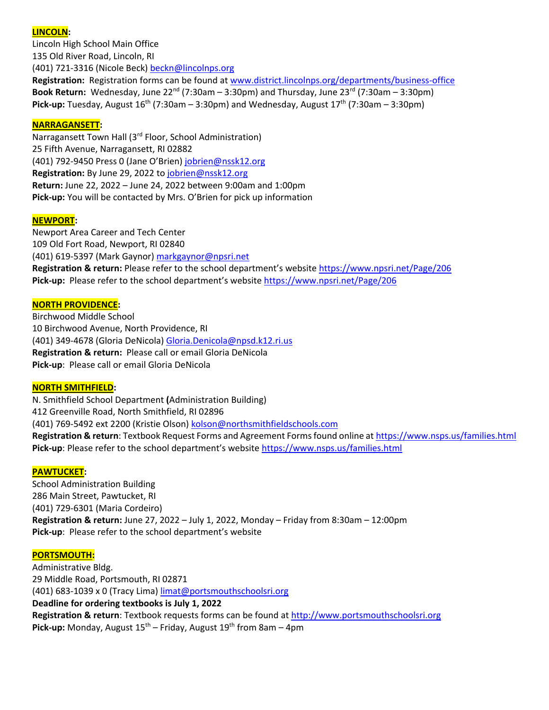#### **LINCOLN:**

Lincoln High School Main Office 135 Old River Road, Lincoln, RI (401) 721-3316 (Nicole Beck[\) beckn@lincolnps.org](mailto:beckn@lincolnps.org) **Registration:** Registration forms can be found at [www.district.lincolnps.org/departments/business-office](http://www.district.lincolnps.org/departments/business-office) **Book Return:** Wednesday, June 22nd (7:30am – 3:30pm) and Thursday, June 23rd (7:30am – 3:30pm) **Pick-up:** Tuesday, August  $16<sup>th</sup>$  (7:30am – 3:30pm) and Wednesday, August  $17<sup>th</sup>$  (7:30am – 3:30pm)

#### **NARRAGANSETT:**

Narragansett Town Hall (3<sup>rd</sup> Floor, School Administration) 25 Fifth Avenue, Narragansett, RI 02882 (401) 792-9450 Press 0 (Jane O'Brien) [jobrien@nssk12.org](mailto:jobrien@nssk12.org) **Registration:** By June 29, 2022 t[o jobrien@nssk12.org](mailto:jobrien@nssk12.org) **Return:** June 22, 2022 – June 24, 2022 between 9:00am and 1:00pm **Pick-up:** You will be contacted by Mrs. O'Brien for pick up information

#### **NEWPORT:**

Newport Area Career and Tech Center 109 Old Fort Road, Newport, RI 02840 (401) 619-5397 (Mark Gaynor) [markgaynor@npsri.net](mailto:markgaynor@npsri.net) **Registration & return:** Please refer to the school department's website <https://www.npsri.net/Page/206> **Pick-up:** Please refer to the school department's website <https://www.npsri.net/Page/206>

#### **NORTH PROVIDENCE:**

Birchwood Middle School 10 Birchwood Avenue, North Providence, RI (401) 349-4678 (Gloria DeNicola) [Gloria.Denicola@npsd.k12.ri.us](mailto:Gloria.Denicola@npsd.k12.ri.us) **Registration & return:** Please call or email Gloria DeNicola **Pick-up**: Please call or email Gloria DeNicola

#### **NORTH SMITHFIELD:**

N. Smithfield School Department **(**Administration Building) 412 Greenville Road, North Smithfield, RI 02896 (401) 769-5492 ext 2200 (Kristie Olson) [kolson@northsmithfieldschools.com](mailto:kolson@northsmithfieldschools.com) **Registration & return**: Textbook Request Forms and Agreement Forms found online at <https://www.nsps.us/families.html> **Pick-up**: Please refer to the school department's website <https://www.nsps.us/families.html>

#### **PAWTUCKET:**

School Administration Building 286 Main Street, Pawtucket, RI (401) 729-6301 (Maria Cordeiro) **Registration & return:** June 27, 2022 – July 1, 2022, Monday – Friday from 8:30am – 12:00pm **Pick-up**: Please refer to the school department's website

#### **PORTSMOUTH:**

Administrative Bldg. 29 Middle Road, Portsmouth, RI 02871 (401) 683-1039 x 0 (Tracy Lima) [limat@portsmouthschoolsri.org](mailto:limat@portsmouthschoolsri.org) **Deadline for ordering textbooks is July 1, 2022 Registration & return**: Textbook requests forms can be found at [http://www.portsmouthschoolsri.org](http://www.portsmouthschoolsri.org/) **Pick-up:** Monday, August 15<sup>th</sup> – Friday, August 19<sup>th</sup> from 8am – 4pm